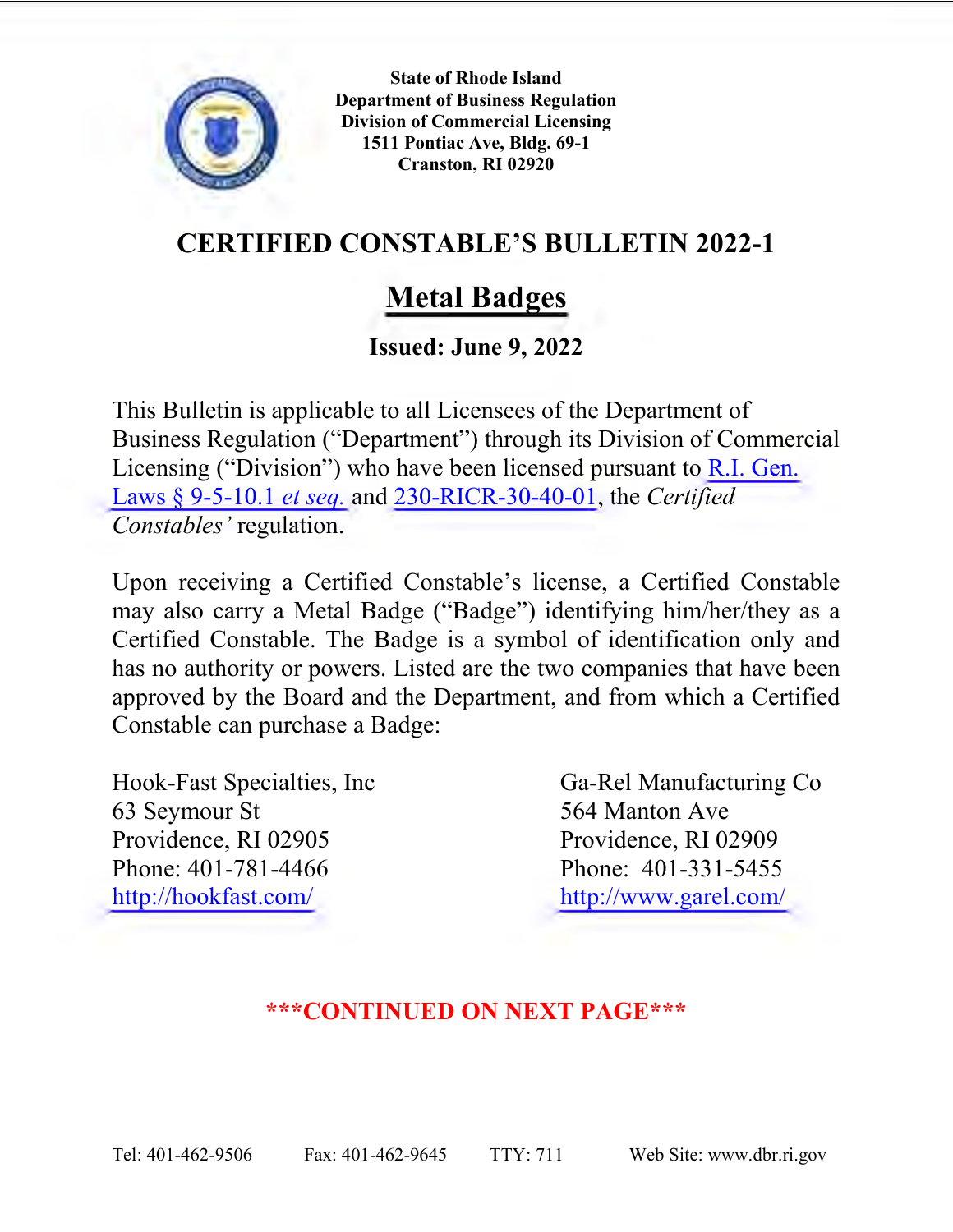

**State of Rhode Island Department of Business Regulation Division of Commercial Licensing 1511 Pontiac Ave, Bldg. 69-1 Cranston, RI 02920** 

## **CERTIFIED CONSTABLE'S BULLETIN 2022-1**

## **Metal Badges**

## **Issued: June 9, 2022**

This Bulletin is applicable to all Licensees of the Department of Business Regulation ("Department") through its Division of Commercial Licensing ("Division") who have been licensed pursuant to [R.I. Gen.](http://webserver.rilin.state.ri.us/Statutes/TITLE9/9-5/9-5-10.1.htm)  [Laws § 9-5-10.1](http://webserver.rilin.state.ri.us/Statutes/TITLE9/9-5/9-5-10.1.htm) *et seq.* and [230-RICR-30-40-01,](https://rules.sos.ri.gov/regulations/Part/230-30-40-1) the *Certified Constables'* regulation.

Upon receiving a Certified Constable's license, a Certified Constable may also carry a Metal Badge ("Badge") identifying him/her/they as a Certified Constable. The Badge is a symbol of identification only and has no authority or powers. Listed are the two companies that have been approved by the Board and the Department, and from which a Certified Constable can purchase a Badge:

Hook-Fast Specialties, Inc Ga-Rel Manufacturing Co 63 Seymour St 564 Manton Ave Providence, RI 02905 Providence, RI 02909 Phone: 401-781-4466 Phone: 401-331-5455 <http://hookfast.com/><http://www.garel.com/>

## **\*\*\*CONTINUED ON NEXT PAGE\*\*\***